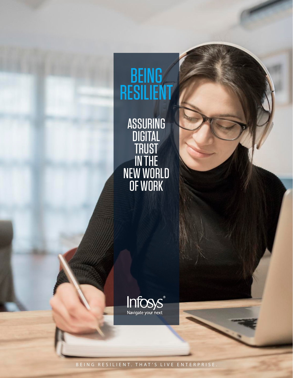# **BEING** RESILIENT

ASSURING DIGITAL TRUST IN THE NEW WORLD OF WORK



BEING RESILIENT. THAT'S LIVE ENTERPRISE.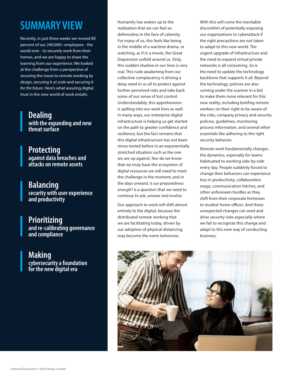# **SUMMARY VIEW**

Recently, in just three weeks we moved 80 percent of our 240,000+ employees - the world over - to securely work from their homes, and we are happy to share the learning from our experience. We looked at the challenge from a perspective of securing the move to remote working *by design*, securing it *at scale* and securing it *for the future*. Here's what assuring digital trust in the new world of work entails:

> **Dealing with the expanding and new threat surface**

**Protecting against data breaches and attacks on remote assets**

**Balancing security with user experience and productivity**

**Prioritizing and re-calibrating governance and compliance**

**Making cybersecurity a foundation for the new digital era** 

Humanity has woken up to the realization that we can feel so defenseless in the face of calamity. For many of us, this feels like being in the middle of a wartime drama, or watching, as if in a movie, the Great Depression unfold around us. Only, this sudden shadow in our lives is very real. This rude awakening from our collective complacency is driving a deep need in us all to protect against further perceived risks and take back some of our sense of lost control. Understandably, this apprehension is spilling into our work lives as well. In many ways, our enterprise digital infrastructure is helping us get started on the path to greater confidence and resilience, but the fact remains that this digital infrastructure has not been stress-tested before in an exponentially stretched situation such as the one we are up against. Nor do we know that we truly have the ecosystem of digital resources we will need to meet the challenge in the moment, and in the days onward. *Is our preparedness enough?* is a question that we need to continue to ask, answer and evolve.

Our approach to work will shift almost entirely to the digital, because the distributed remote working that we are facilitating today, driven by our adoption of physical distancing, may become the norm tomorrow.

With this will come the inevitable discomfort of potentially exposing our organizations to cyberattack if the right precautions are not taken to adapt to this new world. The urgent upgrade of infrastructure and the need to expand virtual private networks is all consuming. So is the need to update the technology backbone that supports it all. Beyond the technology, policies are also coming under the scanner in a bid to make them more relevant for this new reality, including briefing remote workers on their right to be aware of the risks, company privacy and security policies, guidelines, monitoring process information, and several other essentials like adhering to the right security behavior.

Remote work fundamentally changes the dynamics, especially for teams habituated to working side-by-side every day. People suddenly forced to change their behaviors can experience loss in productivity, collaboration snags, communication hitches, and other unforeseen hurdles as they shift from their corporate fortresses to modest home offices. And these unexpected changes can seed and drive security risks especially where we fail to recognize this change and adapt to this new way of conducting business.

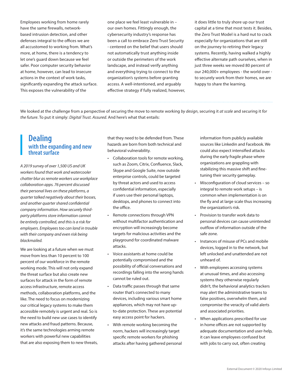Employees working from home rarely have the same firewalls, networkbased intrusion detection, and other defenses integral to the offices we are all accustomed to working from. What's more, at home, there is a tendency to let one's guard down because we feel safer. Poor computer security behavior at home, however, can lead to insecure actions in the context of work tasks, significantly expanding the attack surface. This exposes the vulnerability of the

one place we feel least vulnerable in – our own homes. Fittingly enough, the cybersecurity industry's response has been a call to embrace Zero Trust Security - centered on the belief that users should not automatically trust anything inside or outside the perimeters of the work landscape, and instead verify anything and everything trying to connect to the organization's systems before granting access. A well-intentioned, and arguably effective strategy if fully realized, however, it does little to truly shore up our trust capital at a time that most tests it. Besides, the Zero Trust Model is a hard nut to crack especially for organizations that are still on the journey to retiring their legacy systems. Recently, having walked a highly effective alternate path ourselves, when in just three weeks we moved 80 percent of our 240,000+ employees - the world over to securely work from their homes, we are happy to share the learning.

We looked at the challenge from a perspective of securing the move to remote working *by design*, securing it *at scale* and securing it *for the future*. To put it simply: *Digital Trust. Assured.* And here's what that entails:

### **Dealing with the expanding and new threat surface**

*A 2019 survey of over 1,500 US and UK workers found that work and watercooler chatter blur as remote workers use workplace collaboration apps. 76 percent discussed their personal lives on these platforms, a quarter talked negatively about their bosses, and another quarter shared confidential company information. How securely thirdparty platforms store information cannot be entirely controlled, and this is a risk for employers. Employees too can land in trouble with their company and even risk being blackmailed.*

We are looking at a future when we must move from less than 10 percent to 100 percent of our workforce in the remote working mode. This will not only expand the threat surface but also create new surfaces for attack in the form of remote access infrastructure, remote access methods, collaboration platforms, and the like. The need to focus on modernizing our critical legacy systems to make them accessible remotely is urgent and real. So is the need to build new use cases to identify new attacks and fraud patterns. Because, it's the same technologies arming remote workers with powerful new capabilities that are also exposing them to new threats, that they need to be defended from. These hazards are born from both technical and behavioral vulnerability.

- • Collaboration tools for remote working, such as Zoom, Citrix, Confluence, Slack, Skype and Google Suite, now outside enterprise controls, could be targeted by threat actors and used to access confidential information, especially if users use their personal laptops, desktops, and phones to connect into the office.
- Remote connections through VPN without multifactor authentication and encryption will increasingly become targets for malicious activities and the playground for coordinated malware attacks.
- Voice assistants at home could be potentially compromised and the possibility of official conversations and recordings falling into the wrong hands cannot be ruled out.
- • Data traffic passes through that same router that's connected to many devices, including various smart home appliances, which may not have upto-date protection. These are potential easy access point for hackers.
- • With remote working becoming the norm, hackers will increasingly target specific remote workers for phishing attacks after having gathered personal

information from publicly available sources like Linkedin and Facebook. We could also expect intensified attacks during the early fragile phase where organizations are grappling with stabilizing this massive shift and finetuning their security gameplay.

- Misconfiguration of cloud services so integral to remote work setups – is common when implementation is on the fly and at large scale thus increasing the organization's risk.
- • Provision to transfer work data to personal devices can cause unintended outflow of information outside of the safe zone.
- • Instances of misuse of PCs and mobile devices, logged in to the network, but left unlocked and unattended are not unheard of.
- With employees accessing systems at unusual times, and also accessing systems they otherwise regularly didn't, the behavioral analytics trackers may alert the administrative teams to false positives, overwhelm them, and compromise the veracity of valid alerts and associated priorities.
- When applications prescribed for use in home offices are not supported by adequate documentation and user-help, it can leave employees confused but with jobs to carry out, often creating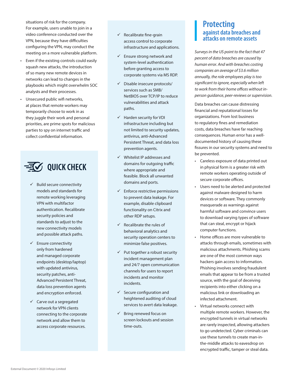situations of risk for the company. For example, users unable to join in a video conference conducted over the VPN, because they have difficulties configuring the VPN, may conduct the meeting on a more vulnerable platform.

- Even if the existing controls could easily squash new attacks, the introduction of so many new remote devices in networks can lead to changes in the playbooks which might overwhelm SOC analysts and their processes.
- • Unsecured public wifi networks, at places that remote workers may temporarily choose to work in as they juggle their work and personal priorities, are prime spots for malicious parties to spy on internet traffic and collect confidential information.



- $\checkmark$  Build secure connectivity models and standards for remote working leveraging VPN with multifactor authentication. Recalibrate security policies and standards to adjust to the new connectivity models and possible attack paths.
- $\checkmark$  Ensure connectivity only from hardened and managed corporate endpoints (desktop/laptop) with updated antivirus, security patches, anti-Advanced Persistent Threat, data loss prevention agents and encryption enforced.
- $\checkmark$  Carve out a segregated network for VPN clients connecting to the corporate network and allow them to access corporate resources.
- $\checkmark$  Recalibrate fine-grain access control to corporate infrastructure and applications.
- $\checkmark$  Ensure strong network and system-level authentication before granting access to corporate systems via MS RDP.
- $\checkmark$  Disable insecure protocols/ services such as SMB/ NetBIOS over TCP/IP to reduce vulnerabilities and attack paths.
- $\checkmark$  Harden security for VDI infrastructure including but not limited to security updates, antivirus, anti-Advanced Persistent Threat, and data loss prevention agents.
- $\checkmark$  Whitelist IP addresses and domains for outgoing traffic where appropriate and feasible. Block all unwanted domains and ports.
- $\checkmark$  Enforce restrictive permissions to prevent data leakage. For example, disable clipboard functionality on Citrix and other RDP setups.
- $\checkmark$  Recalibrate the rules of behavioral analytics and security operation centers to minimize false positives.
- $\checkmark$  Put together a robust security incident management plan and 24/7 open communication channels for users to report incidents and monitor incidents.
- $\checkmark$  Secure configuration and heightened auditing of cloud services to avert data leakage.
- $\checkmark$  Bring renewed focus on screen lockouts and session time-outs.

#### **Protecting against data breaches and attacks on remote assets**

*Surveys in the US point to the fact that 47 percent of data breaches are caused by human error. And with breaches costing companies an average of \$3.6 million annually, the role employees play is too significant to ignore, especially when left to work from their home offices without inperson guidance, peer-reviews or supervision.*

Data breaches can cause distressing financial and reputational losses for organizations. From lost business to regulatory fines and remediation costs, data breaches have far reaching consequences. Human error has a welldocumented history of causing these fissures in our security systems and need to be prevented.

- • Careless exposure of data printed out in physical form is a greater risk with remote workers operating outside of secure corporate offices.
- Users need to be alerted and protected against malware designed to harm devices or software. They commonly masquerade as warnings against harmful software and convince users to download varying types of software that can steal, encrypt or hijack computer functions.
- Home offices are more vulnerable to attacks through emails, sometimes with malicious attachments. Phishing scams are one of the most common ways hackers gain access to information. Phishing involves sending fraudulent emails that appear to be from a trusted source, with the goal of deceiving recipients into either clicking on a malicious link or downloading an infected attachment.
- • Virtual networks connect with multiple remote workers. However, the encrypted tunnels in virtual networks are rarely inspected, allowing attackers to go undetected. Cyber criminals can use these tunnels to create man-inthe-middle attacks to eavesdrop on encrypted traffic, tamper or steal data.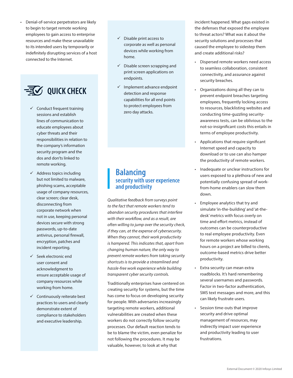• Denial-of-service perpetrators are likely to begin to target remote working employees to gain access to enterprise resources and make these unavailable to its intended users by temporarily or indefinitely disrupting services of a host connected to the Internet.



- $\checkmark$  Conduct frequent training sessions and establish lines of communication to educate employees about cyber threats and their responsibilities in relation to the company's information security program and the dos and don'ts linked to remote working.
- $\checkmark$  Address topics including but not limited to malware, phishing scams, acceptable usage of company resources, clear screen; clear desk, disconnecting from corporate network when not in use, keeping personal devices secure with strong passwords, up-to-date antivirus, personal firewall, encryption, patches and incident reporting.
- $\checkmark$  Seek electronic end user consent and acknowledgment to ensure acceptable usage of company resources while working from home.
- $\checkmark$  Continuously reiterate best practices to users and clearly demonstrate extent of compliance to stakeholders and executive leadership.
- $\checkmark$  Disable print access to corporate as well as personal devices while working from home.
- $\checkmark$  Disable screen scrapping and print screen applications on endpoints.
- $\checkmark$  Implement advance endpoint detection and response capabilities for all end points to protect employees from zero day attacks.

#### **Balancing security with user experience and productivity**

*Qualitative feedback from surveys point to the fact that remote workers tend to abandon security procedures that interfere with their workflow, and as a result, are often willing to jump over the security check, if they can, at the expense of cybersecurity. When they cannot, their work productivity is hampered. This indicates that, apart from changing human nature, the only way to prevent remote workers from taking security shortcuts is to provide a streamlined and hassle-free work experience while building transparent cyber security controls.*

Traditionally enterprises have centered on creating security for systems, but the time has come to focus on developing security for people. With adversaries increasingly targeting remote workers, additional vulnerabilities are created when these workers do not correctly follow security processes. Our default reaction tends to be to blame the victim, even penalize for not following the procedures. It may be valuable, however, to look at why that

incident happened. What gaps existed in the defenses that exposed the employee to threat actors? What was it about the security solutions and processes that caused the employee to sidestep them and create additional risks?

- • Dispersed remote workers need access to seamless collaboration, consistent connectivity, and assurance against security breaches.
- • Organizations doing all they can to prevent endpoint breaches targeting employees, frequently locking access to resources, blacklisting websites and conducting time-guzzling securityawareness tests, can be oblivious to the not-so-insignificant costs this entails in terms of employee productivity.
- Applications that require significant Internet speed and capacity to download or to use can also hamper the productivity of remote workers.
- Inadequate or unclear instructions for users exposed to a plethora of new and potentially confusing spread of workfrom-home enablers can slow them down.
- Employee analytics that try and simulate 'in-the-building' and 'at-thedesk' metrics with focus overly on time and effort metrics, instead of outcomes can be counterproductive to real employee productivity. Even for remote workers whose working hours on a project are billed to clients, outcome-based metrics drive better productivity.
- Extra security can mean extra roadblocks. It's hard remembering several usernames and passwords. Factor in two-factor authentication, SMS text messages and more, and this can likely frustrate users.
- Session time-outs that improve security and drive optimal management of resources, may indirectly impact user experience and productivity leading to user frustrations.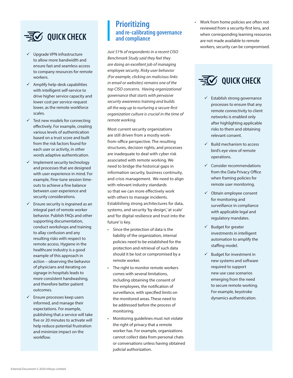

- Upgrade VPN infrastructure to allow more bandwidth and ensure fast and seamless access to company resources for remote workers.
- $\checkmark$  Amplify help-desk capabilities with intelligent self-service to drive higher service capacity and lower cost per service-request lower, as the remote workforce scales.
- $\checkmark$  Test new models for connecting effectively. For example, creating various levels of authentication based on a trust score and built from the risk factors found for each user or activity, in other words adaptive authentication.
- $\checkmark$  Implement security technology and processes that are designed with user experience in mind. For example, Fine-tune session timeouts to achieve a fine balance between user experience and security considerations.
- $\checkmark$  Ensure security is ingrained as an integral part of remote worker behavior. Publish FAQs and other supporting documentation, conduct workshops and training to allay confusion and any resulting risks with respect to remote access. Hygiene in the healthcare industry is a good example of this approach in action – observing the behavior of physicians and iterating on signage in hospitals leads to more consistent handwashing, and therefore better patient outcomes.
- $\checkmark$  Ensure processes keep users informed, and manage their expectations. For example, publishing that a service will take five or 20 minutes to activate will help reduce potential frustration and minimize impact on the workflow.

## **Prioritizing and re-calibrating governance**

*Just 51% of respondents in a recent CISO Benchmark Study said they feel they are doing an excellent job of managing employee security. Risky user behavior (For example, clicking on malicious links in email or websites) remains one of the top CISO concerns. Having organizational governance that starts with pervasive security awareness training and builds all the way up to nurturing a secure-first organization culture is crucial in the time of remote working.*

Most current security organizations are still driven from a mostly workfrom-office perspective. The resulting structures, decision rights, and processes are inadequate to deal with cyber risk associated with remote working. We need to bridge the historical gaps in information security, business continuity, and crisis management. We need to align with relevant industry standards so that we can more effectively work with others to manage incidents. Establishing strong architectures for data, systems, and security 'by design', 'at scale' and 'for digital resilience and trust into the future' is key.

- • Since the protection of data is the liability of the organization, internal policies need to be established for the protection and retrieval of such data should it be lost or compromised by a remote worker.
- The right to monitor remote workers comes with several limitations, including obtaining the consent of the employees, the notification of surveillance, with specified limits on the monitored areas. These need to be addressed before the process of monitoring.
- Monitoring quidelines must not violate the right of privacy that a remote worker has. For example, organizations cannot collect data from personal chats or conversations unless having obtained judicial authorization.

• Work from home policies are often not reviewed from a security-first lens, and when corresponding learning resources are not made available to remote workers, security can be compromised.



- $\checkmark$  Establish strong governance processes to ensure that any remote connectivity to client networks is enabled only after highlighting applicable risks to them and obtaining relevant consent.
- $\checkmark$  Build mechanism to access bird's eye view of remote operations.
- $\checkmark$  Consider recommendations from the Data Privacy Office when framing policies for remote user monitoring.
- $\checkmark$  Obtain employee consent for monitoring and surveillance in compliance with applicable legal and regulatory mandates.
- $\checkmark$  Budget for greater investments in intelligent automation to amplify the staffing model.
- $\checkmark$  Budget for investment in new systems and software required to support new use case scenarios emerging from the need to secure remote working. For example, keystroke dynamics authentication.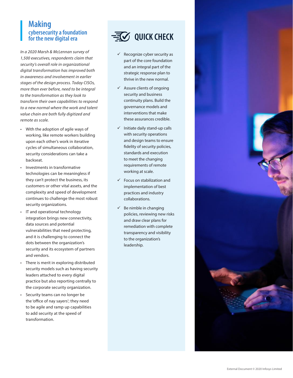#### **Making cybersecurity a foundation for the new digital era**

*In a 2020 Marsh & McLennan survey of 1,500 executives, respondents claim that security's overall role in organizational digital transformation has improved both in awareness and involvement in earlier stages of the design process. Today CISOs, more than ever before, need to be integral to the transformation as they look to transform their own capabilities to respond to a new normal where the work and talent value chain are both fully digitized and remote as scale.*

- • With the adoption of agile ways of working, like remote workers building upon each other's work in iterative cycles of simultaneous collaboration, security considerations can take a backseat.
- Investments in transformative technologies can be meaningless if they can't protect the business, its customers or other vital assets, and the complexity and speed of development continues to challenge the most robust security organizations.
- IT and operational technology integration brings new connectivity, data sources and potential vulnerabilities that need protecting, and it is challenging to connect the dots between the organization's security and its ecosystem of partners and vendors.
- There is merit in exploring distributed security models such as having security leaders attached to every digital practice but also reporting centrally to the corporate security organization.
- Security teams can no longer be the 'office of nay sayers'; they need to be agile and ramp up capabilities to add security at the speed of transformation.



- Recognize cyber security as part of the core foundation and an integral part of the strategic response plan to thrive in the new normal.
- $\checkmark$  Assure clients of ongoing security and business continuity plans. Build the governance models and interventions that make these assurances credible.
- $\checkmark$  Initiate daily stand-up calls with security operations and design teams to ensure fidelity of security policies, standards and execution to meet the changing requirements of remote working at scale.
- $\checkmark$  Focus on stabilization and implementation of best practices and industry collaborations.
- $\checkmark$  Be nimble in changing policies, reviewing new risks and draw clear plans for remediation with complete transparency and visibility to the organization's leadership.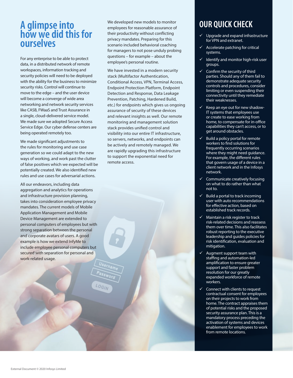## **A glimpse into how we did this for ourselves**

For any enterprise to be able to protect data, in a distributed network of remote workspaces, information tracking and security policies will need to be deployed with the ability for the business to minimize security risks. Control will continue to move to the edge – and the user device will become a converge of wide area networking and network security services like CASB, FWaaS and Trust Assurance in a single, cloud-delivered service model. We made sure we adopted Secure Access Service Edge. Our cyber defense centers are being operated remotely too.

We made significant adjustments to the rules for monitoring and use case generation so we could adapt to the new ways of working, and work past the clutter of false positives which we expected will be potentially created. We also identified new rules and use cases for adversarial actions.

All our endeavors, including data aggregation and analytics for operations and infrastructure provision planning, takes into consideration employee privacy mandates. The current models of Mobile Application Management and Mobile Device Management are extended to personal computers of employees but with strong separation between the personal and corporate avatars of users. A good example is how we extend InfyMe to include employee personal computers but secured with separation for personal and work-related usage.

We developed new models to monitor employees for reasonable assurance of their productivity without conflicting privacy mandates. Preparing for this scenario included behavioral coaching for managers to not pose unduly probing questions – for example – about the employee's personal routine.

We have invested in a modern security stack (Multifactor Authentication, Conditional Access, VPN, Terminal Access, Endpoint Protection Platform, Endpoint Detection and Response, Data Leakage Prevention, Patching, Hardened Build, etc.) for endpoints which gives us ongoing assurance of security of these devices and relevant insights as well. Our remote monitoring and management solution stack provides unified control and visibility into our entire IT infrastructure, so servers, networks, and endpoints can be actively and remotely managed. We are rapidly upgrading this infrastructure to support the exponential need for remote access.

## **OUR QUICK CHECK**

- $\checkmark$  Upgrade and expand infrastructure for VPN and extranet.
- $\checkmark$  Accelerate patching for critical systems.
- Identify and monitor high-risk user groups.
- $\checkmark$  Confirm the security of third parties. Should any of them fail to demonstrate adequate security controls and procedures, consider limiting or even suspending their connectivity until they remediate their weaknesses.
- $\checkmark$  Keep an eye out for new shadow-IT systems that employees use or create to ease working from home, to compensate for in-office capabilities they can't access, or to get around obstacles.
- $\checkmark$  Build a policy portal for remote workers to find solutions for frequently occurring scenarios where they might need guidance. For example, the different rules that govern usage of a device in a client network and in the Infosys network.
- $\checkmark$  Communicate creatively focusing on what to do rather than what not to.
- Build a portal to track incoming user with auto recommendations for effective action, based on established track records.
- Maintain a risk register to track risk-related decisions and reassess them over time. This also facilitates robust reporting to the executive leadership and guides policies for risk identification, evaluation and mitigation.
- Augment support team with staffing and automation-led amplification to ensure greater support and faster problem resolution for our greatly expanded workforce of remote workers.
- $\checkmark$  Connect with clients to request contractual consent for employees on their projects to work from home. The contract appraises them of potential risks and the proposed security assurance plan. This is a mandatory process preceding the activation of systems and devices enablement for employees to work from remote locations.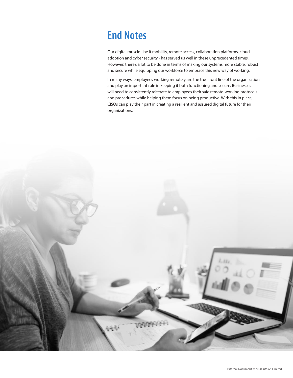## **End Notes**

Our digital muscle - be it mobility, remote access, collaboration platforms, cloud adoption and cyber security - has served us well in these unprecedented times. However, there's a lot to be done in terms of making our systems more stable, robust and secure while equipping our workforce to embrace this new way of working.

In many ways, employees working remotely are the true front line of the organization and play an important role in keeping it both functioning and secure. Businesses will need to consistently reiterate to employees their safe remote-working protocols and procedures while helping them focus on being productive. With this in place, CISOs can play their part in creating a resilient and assured digital future for their organizations.